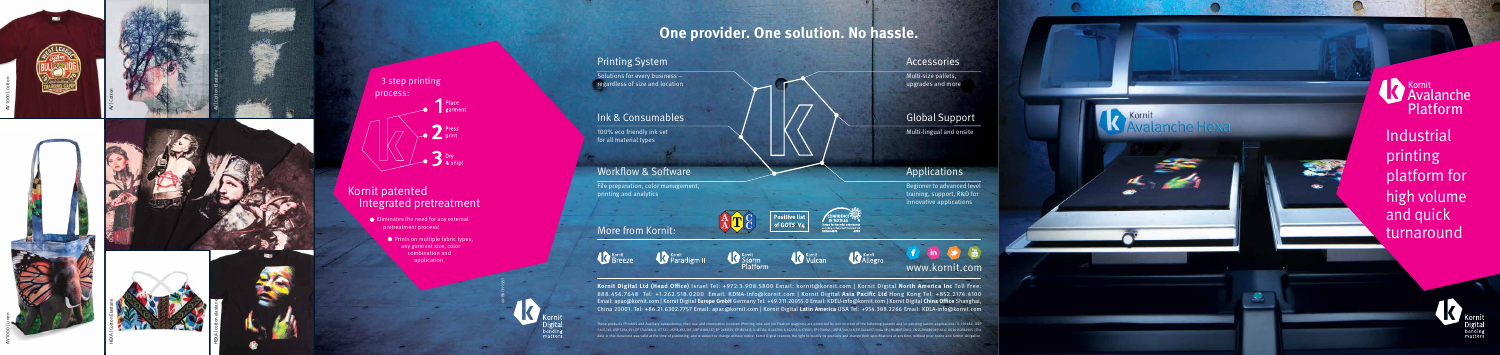

## **One provider. One solution. No hassle.**

## **Printing System**

Solutions for every business  $regardless of size and location$ 

#### Ink & Consumables

100% eco friendly ink set for all material types

### **Workflow & Software**

File preparation, color management, printing and analytics

## More from Kornit:

Kornit





ATC





Kornit



#### www.kornit.com

Kornit Digital Ltd (Head Office) Israel Tel: +972.3.908.5800 Email: kornit@kornit.com | Kornit Digital North America Inc Toll Free: 888.456.7648 Tel: +1.262.518.0200 Email: KDNA-info@kornit.com | Kornit Digital Asia Pacific Ltd Hong Kong Tel: +852.2174.4100 Email: apac@kornit.com | Kornit Digital Europe GmbH Germany Tel: +49.211.20055.0 Email: KDEU-info@kornit.com | Kornit Digital China Office Shanghai, China 20001. Tel: +86.21.6302.7757 Email: apac@kornit.com | Kornit Digital Latin America USA Tel: +954.388.2266 Email: KDLA-info@kornit.com

 $\bigg|\begin{array}{c} \textsf{Positive list} \ \textsf{of GOTS V4} \end{array}\bigg|$ 

systems), their use and chemistries involved (Printing inks and Ink Fixation reagents) are protected by one or more of the following patents and/or pending patent applications: IL 139482; USP مدرج المسابق المسلم المسلم ال lata in this document was valid at the time of publishing, and is subject to change without notice. Kornit Digital reserves the right to modify its products and change their specifications at any time, without prior notice













HEXA | cotton elastane



3 step printing :process Place<br>
garment Press<br>Print  $\sum$ <sup>Dry</sup> & ship

## Kornit patented Integrated pretreatment

 $\bullet$  Eliminates the need for any external pretreatment process!

**Industrial** Avalanche Platform

 $\bullet$  Prints on multiple fabric types, any garment size, color combination and .application

#### Accessories

Multi-size pallets, upgrades and more

## **Global Support**

Multi-lingual and onsite

## **Applications**

Beginner to advanced level training, support, R&D for innovative applications

Kornit



 printing platform for high volume and quick turnaround